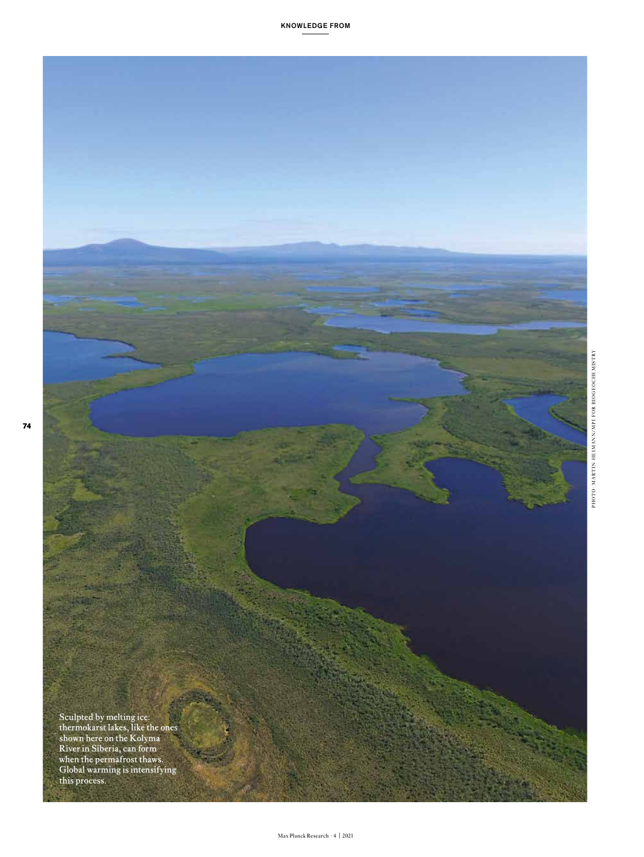

KNOWLEDGE FROM

Sculpted by melting ice: thermokarst lakes, like the ones shown here on the Kolyma River in Siberia, can form when the permafrost thaws. Global warming is intensifying this process.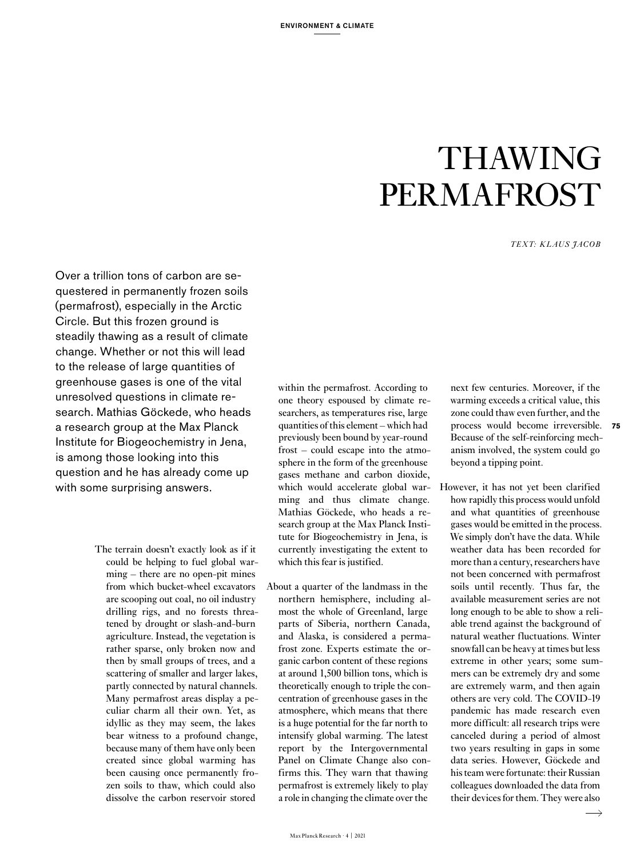# THAWING **PERMAFROST**

*TEXT: KLAUS JACOB*

Over a trillion tons of carbon are sequestered in permanently frozen soils (permafrost), especially in the Arctic Circle. But this frozen ground is steadily thawing as a result of climate change. Whether or not this will lead to the release of large quantities of greenhouse gases is one of the vital unresolved questions in climate research. Mathias Göckede, who heads a research group at the Max Planck Institute for Biogeochemistry in Jena, is among those looking into this question and he has already come up with some surprising answers.

> The terrain doesn't exactly look as if it could be helping to fuel global warming – there are no open-pit mines from which bucket-wheel excavators are scooping out coal, no oil industry drilling rigs, and no forests threatened by drought or slash-and-burn agriculture. Instead, the vegetation is rather sparse, only broken now and then by small groups of trees, and a scattering of smaller and larger lakes, partly connected by natural channels. Many permafrost areas display a peculiar charm all their own. Yet, as idyllic as they may seem, the lakes bear witness to a profound change, because many of them have only been created since global warming has been causing once permanently frozen soils to thaw, which could also dissolve the carbon reservoir stored

within the permafrost. According to one theory espoused by climate researchers, as temperatures rise, large quantities of this element – which had previously been bound by year-round frost – could escape into the atmosphere in the form of the greenhouse gases methane and carbon dioxide, which would accelerate global warming and thus climate change. Mathias Göckede, who heads a research group at the Max Planck Institute for Biogeochemistry in Jena, is currently investigating the extent to which this fear is justified.

About a quarter of the landmass in the northern hemisphere, including almost the whole of Greenland, large parts of Siberia, northern Canada, and Alaska, is considered a permafrost zone. Experts estimate the organic carbon content of these regions at around 1,500 billion tons, which is theoretically enough to triple the concentration of greenhouse gases in the atmosphere, which means that there is a huge potential for the far north to intensify global warming. The latest report by the Intergovernmental Panel on Climate Change also confirms this. They warn that thawing permafrost is extremely likely to play a role in changing the climate over the

next few centuries. Moreover, if the warming exceeds a critical value, this zone could thaw even further, and the process would become irreversible. **75** Because of the self-reinforcing mechanism involved, the system could go beyond a tipping point.

However, it has not yet been clarified how rapidly this process would unfold and what quantities of greenhouse gases would be emitted in the process. We simply don't have the data. While weather data has been recorded for more than a century, researchers have not been concerned with permafrost soils until recently. Thus far, the available measurement series are not long enough to be able to show a reliable trend against the background of natural weather fluctuations. Winter snowfall can be heavy at times but less extreme in other years; some summers can be extremely dry and some are extremely warm, and then again others are very cold. The COVID-19 pandemic has made research even more difficult: all research trips were canceled during a period of almost two years resulting in gaps in some data series. However, Göckede and his team were fortunate: their Russian colleagues downloaded the data from their devices for them. They were also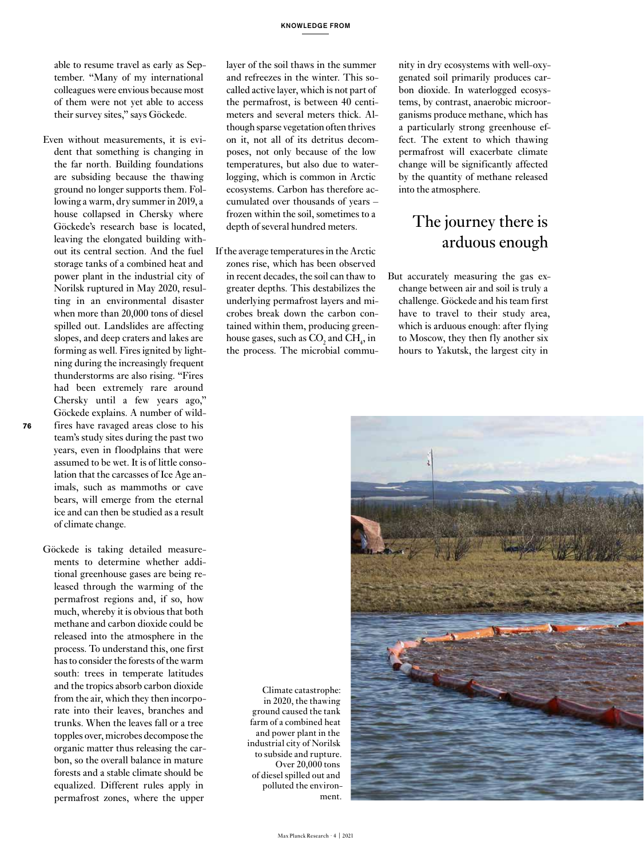able to resume travel as early as September. "Many of my international colleagues were envious because most of them were not yet able to access their survey sites," says Göckede.

- Even without measurements, it is evident that something is changing in the far north. Building foundations are subsiding because the thawing ground no longer supports them. Following a warm, dry summer in 2019, a house collapsed in Chersky where Göckede's research base is located, leaving the elongated building without its central section. And the fuel storage tanks of a combined heat and power plant in the industrial city of Norilsk ruptured in May 2020, resulting in an environmental disaster when more than 20,000 tons of diesel spilled out. Landslides are affecting slopes, and deep craters and lakes are forming as well. Fires ignited by lightning during the increasingly frequent thunderstorms are also rising. "Fires had been extremely rare around Chersky until a few years ago," Göckede explains. A number of wildfires have ravaged areas close to his team's study sites during the past two years, even in floodplains that were assumed to be wet. It is of little consolation that the carcasses of Ice Age animals, such as mammoths or cave bears, will emerge from the eternal ice and can then be studied as a result of climate change.
- Göckede is taking detailed measurements to determine whether additional greenhouse gases are being released through the warming of the permafrost regions and, if so, how much, whereby it is obvious that both methane and carbon dioxide could be released into the atmosphere in the process. To understand this, one first has to consider the forests of the warm south: trees in temperate latitudes and the tropics absorb carbon dioxide from the air, which they then incorporate into their leaves, branches and trunks. When the leaves fall or a tree topples over, microbes decompose the organic matter thus releasing the carbon, so the overall balance in mature forests and a stable climate should be equalized. Different rules apply in permafrost zones, where the upper

layer of the soil thaws in the summer and refreezes in the winter. This socalled active layer, which is not part of the permafrost, is between 40 centimeters and several meters thick. Although sparse vegetation often thrives on it, not all of its detritus decomposes, not only because of the low temperatures, but also due to waterlogging, which is common in Arctic ecosystems. Carbon has therefore accumulated over thousands of years – frozen within the soil, sometimes to a depth of several hundred meters.

If the average temperatures in the Arctic zones rise, which has been observed in recent decades, the soil can thaw to greater depths. This destabilizes the underlying permafrost layers and microbes break down the carbon contained within them, producing greenhouse gases, such as  $CO_2$  and  $CH_4$ , in the process. The microbial commu-

nity in dry ecosystems with well-oxygenated soil primarily produces carbon dioxide. In waterlogged ecosystems, by contrast, anaerobic microorganisms produce methane, which has a particularly strong greenhouse effect. The extent to which thawing permafrost will exacerbate climate change will be significantly affected by the quantity of methane released into the atmosphere.

## The journey there is arduous enough

But accurately measuring the gas exchange between air and soil is truly a challenge. Göckede and his team first have to travel to their study area, which is arduous enough: after flying to Moscow, they then fly another six hours to Yakutsk, the largest city in

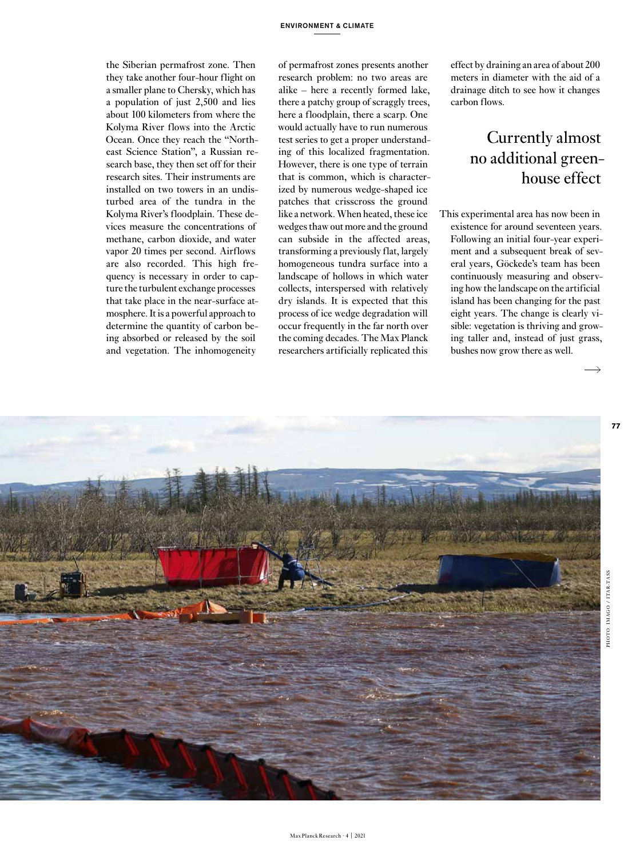the Siberian permafrost zone. Then they take another four-hour flight on a smaller plane to Chersky, which has a population of just 2,500 and lies about 100 kilometers from where the Kolyma River flows into the Arctic Ocean. Once they reach the "Northeast Science Station", a Russian research base, they then set off for their research sites. Their instruments are installed on two towers in an undisturbed area of the tundra in the Kolyma River's floodplain. These devices measure the concentrations of methane, carbon dioxide, and water vapor 20 times per second. Airflows are also recorded. This high frequency is necessary in order to capture the turbulent exchange processes that take place in the near-surface atmosphere. It is a powerful approach to determine the quantity of carbon being absorbed or released by the soil and vegetation. The inhomogeneity

of permafrost zones presents another research problem: no two areas are alike – here a recently formed lake, there a patchy group of scraggly trees, here a floodplain, there a scarp. One would actually have to run numerous test series to get a proper understanding of this localized fragmentation. However, there is one type of terrain that is common, which is characterized by numerous wedge-shaped ice patches that crisscross the ground like a network. When heated, these ice wedges thaw out more and the ground can subside in the affected areas, transforming a previously flat, largely homogeneous tundra surface into a landscape of hollows in which water collects, interspersed with relatively dry islands. It is expected that this process of ice wedge degradation will occur frequently in the far north over the coming decades. The Max Planck researchers artificially replicated this

effect by draining an area of about 200 meters in diameter with the aid of a drainage ditch to see how it changes carbon flows.

# Currently almost no additional greenhouse effect

This experimental area has now been in existence for around seventeen years. Following an initial four-year experiment and a subsequent break of several years, Göckede's team has been continuously measuring and observing how the landscape on the artificial island has been changing for the past eight years. The change is clearly visible: vegetation is thriving and growing taller and, instead of just grass, bushes now grow there as well.

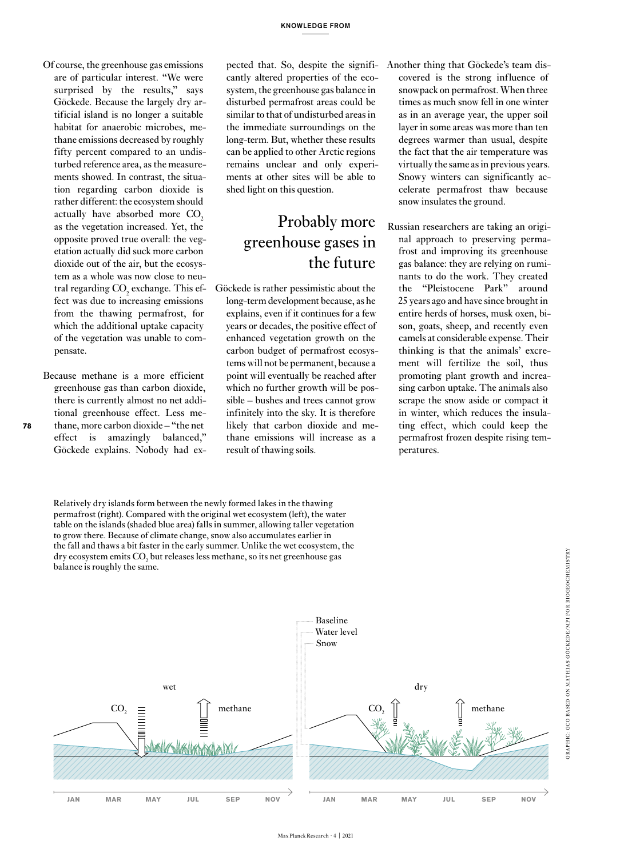- Of course, the greenhouse gas emissions are of particular interest. "We were surprised by the results," says Göckede. Because the largely dry artificial island is no longer a suitable habitat for anaerobic microbes, methane emissions decreased by roughly fifty percent compared to an undisturbed reference area, as the measurements showed. In contrast, the situation regarding carbon dioxide is rather different: the ecosystem should actually have absorbed more CO<sub>2</sub> as the vegetation increased. Yet, the opposite proved true overall: the vegetation actually did suck more carbon dioxide out of the air, but the ecosystem as a whole was now close to neutral regarding  $\mathrm{CO}_2$  exchange. This effect was due to increasing emissions from the thawing permafrost, for which the additional uptake capacity of the vegetation was unable to compensate.
- Because methane is a more efficient greenhouse gas than carbon dioxide, there is currently almost no net additional greenhouse effect. Less methane, more carbon dioxide – "the net effect is amazingly balanced," Göckede explains. Nobody had ex-

**78**

pected that. So, despite the significantly altered properties of the ecosystem, the greenhouse gas balance in disturbed permafrost areas could be similar to that of undisturbed areas in the immediate surroundings on the long-term. But, whether these results can be applied to other Arctic regions remains unclear and only experiments at other sites will be able to shed light on this question.

## Probably more greenhouse gases in the future

- Göckede is rather pessimistic about the long-term development because, as he explains, even if it continues for a few years or decades, the positive effect of enhanced vegetation growth on the carbon budget of permafrost ecosystems will not be permanent, because a point will eventually be reached after which no further growth will be possible – bushes and trees cannot grow infinitely into the sky. It is therefore likely that carbon dioxide and methane emissions will increase as a result of thawing soils.
- Another thing that Göckede's team discovered is the strong influence of snowpack on permafrost. When three times as much snow fell in one winter as in an average year, the upper soil layer in some areas was more than ten degrees warmer than usual, despite the fact that the air temperature was virtually the same as in previous years. Snowy winters can significantly accelerate permafrost thaw because snow insulates the ground.
- Russian researchers are taking an original approach to preserving permafrost and improving its greenhouse gas balance: they are relying on ruminants to do the work. They created the "Pleistocene Park" around 25 years ago and have since brought in entire herds of horses, musk oxen, bison, goats, sheep, and recently even camels at considerable expense. Their thinking is that the animals' excrement will fertilize the soil, thus promoting plant growth and increasing carbon uptake. The animals also scrape the snow aside or compact it in winter, which reduces the insulating effect, which could keep the permafrost frozen despite rising temperatures.

Relatively dry islands form between the newly formed lakes in the thawing permafrost (right). Compared with the original wet ecosystem (left), the water table on the islands (shaded blue area) falls in summer, allowing taller vegetation to grow there. Because of climate change, snow also accumulates earlier in the fall and thaws a bit faster in the early summer. Unlike the wet ecosystem, the dry ecosystem emits  $\mathrm{CO}_2$  but releases less methane, so its net greenhouse gas balance is roughly the same.